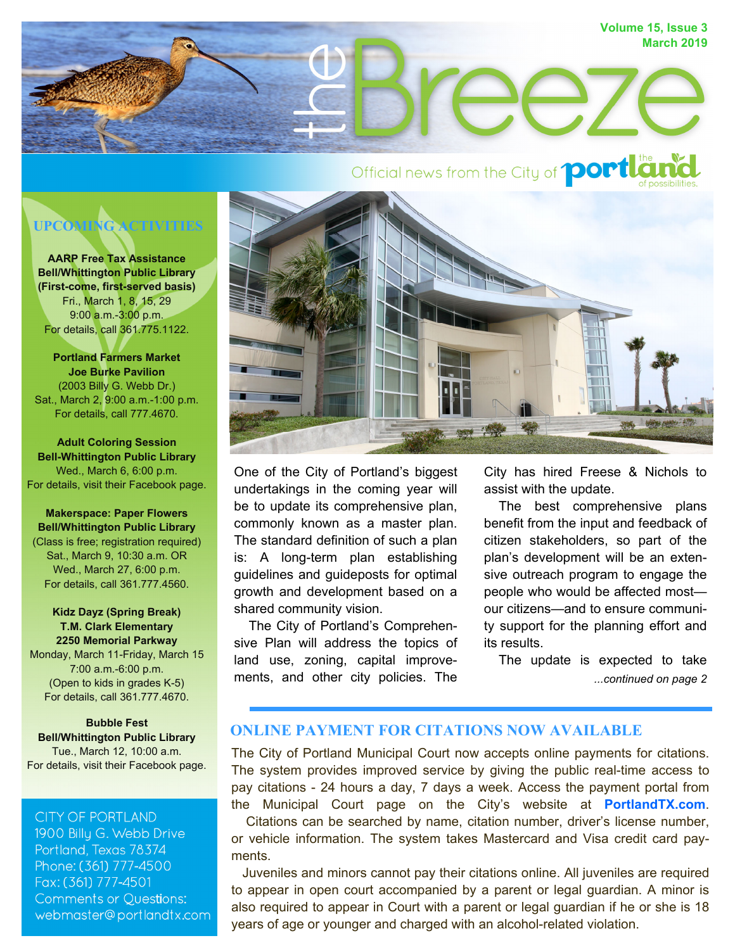

# **UPCOMING ACTIVITIES**

**AARP Free Tax Assistance Bell/Whittington Public Library (First-come, first-served basis)**  Fri., March 1, 8, 15, 29 9:00 a.m.-3:00 p.m. For details, call 361.775.1122.

**Portland Farmers Market Joe Burke Pavilion**  (2003 Billy G. Webb Dr.) Sat., March 2, 9:00 a.m.-1:00 p.m. For details, call 777.4670.

**Adult Coloring Session Bell-Whittington Public Library**  Wed., March 6, 6:00 p.m. For details, visit their Facebook page.

**Makerspace: Paper Flowers Bell/Whittington Public Library**  (Class is free; registration required) Sat., March 9, 10:30 a.m. OR Wed., March 27, 6:00 p.m. For details, call 361.777.4560.

### **Kidz Dayz (Spring Break) T.M. Clark Elementary 2250 Memorial Parkway**

Monday, March 11-Friday, March 15 7:00 a.m.-6:00 p.m. (Open to kids in grades K-5) For details, call 361.777.4670.

**Bubble Fest Bell/Whittington Public Library**  Tue., March 12, 10:00 a.m. For details, visit their Facebook page.

### **CITY OF PORTLAND**

1900 Billy G. Webb Drive Portland, Texas 78374 Phone: (361) 777-4500 Fax: (361) 777-4501 **Comments or Questions:** webmaster@portlandtx.com



One of the City of Portland's biggest undertakings in the coming year will be to update its comprehensive plan, commonly known as a master plan. The standard definition of such a plan is: A long-term plan establishing guidelines and guideposts for optimal growth and development based on a shared community vision.

 The City of Portland's Comprehensive Plan will address the topics of land use, zoning, capital improvements, and other city policies. The

City has hired Freese & Nichols to assist with the update.

 The best comprehensive plans benefit from the input and feedback of citizen stakeholders, so part of the plan's development will be an extensive outreach program to engage the people who would be affected most our citizens—and to ensure community support for the planning effort and its results.

*...continued on page 2* The update is expected to take

### **ONLINE PAYMENT FOR CITATIONS NOW AVAILABLE**

The City of Portland Municipal Court now accepts online payments for citations. The system provides improved service by giving the public real-time access to pay citations - 24 hours a day, 7 days a week. Access the payment portal from the Municipal Court page on the City's website at **PortlandTX.com**.

 Citations can be searched by name, citation number, driver's license number, or vehicle information. The system takes Mastercard and Visa credit card payments.

 Juveniles and minors cannot pay their citations online. All juveniles are required to appear in open court accompanied by a parent or legal guardian. A minor is also required to appear in Court with a parent or legal guardian if he or she is 18 years of age or younger and charged with an alcohol-related violation.